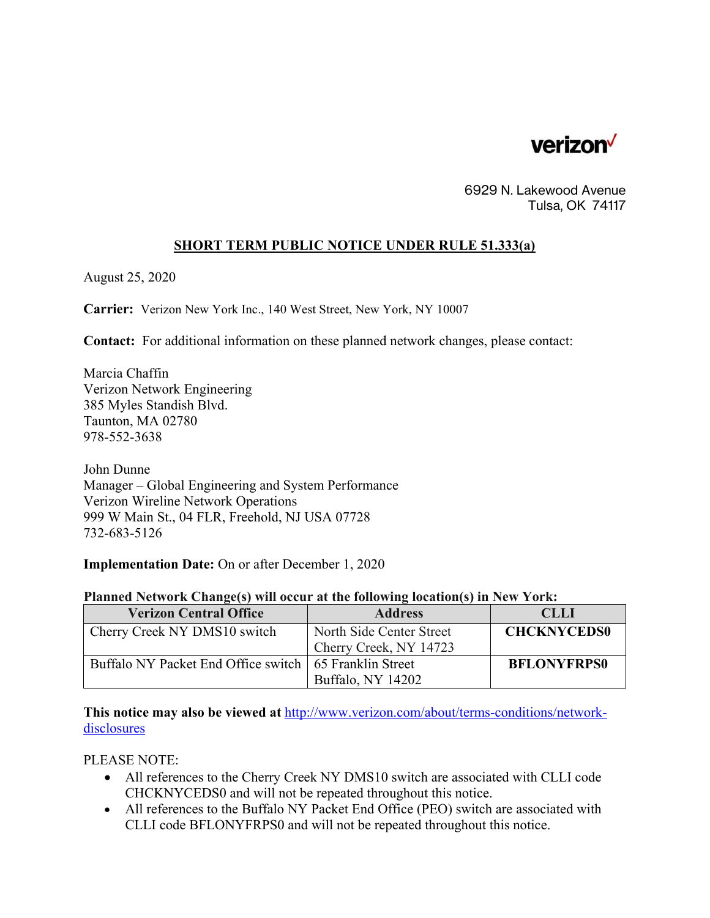

6929 N. Lakewood Avenue Tulsa, OK 74117

## **SHORT TERM PUBLIC NOTICE UNDER RULE 51.333(a)**

August 25, 2020

**Carrier:** Verizon New York Inc., 140 West Street, New York, NY 10007

**Contact:** For additional information on these planned network changes, please contact:

Marcia Chaffin Verizon Network Engineering 385 Myles Standish Blvd. Taunton, MA 02780 978-552-3638

John Dunne Manager – Global Engineering and System Performance Verizon Wireline Network Operations 999 W Main St., 04 FLR, Freehold, NJ USA 07728 732-683-5126

**Implementation Date:** On or after December 1, 2020

| Planned Network Change(s) will occur at the following location(s) in New York: |  |  |  |  |
|--------------------------------------------------------------------------------|--|--|--|--|
|                                                                                |  |  |  |  |

| <b>Verizon Central Office</b>                            | <b>Address</b>           | <b>CLLI</b>        |
|----------------------------------------------------------|--------------------------|--------------------|
| Cherry Creek NY DMS10 switch                             | North Side Center Street | <b>CHCKNYCEDS0</b> |
|                                                          | Cherry Creek, NY 14723   |                    |
| Buffalo NY Packet End Office switch   65 Franklin Street |                          | <b>BFLONYFRPS0</b> |
|                                                          | Buffalo, NY 14202        |                    |

**This notice may also be viewed at** http://www.verizon.com/about/terms-conditions/networkdisclosures

PLEASE NOTE:

- All references to the Cherry Creek NY DMS10 switch are associated with CLLI code CHCKNYCEDS0 and will not be repeated throughout this notice.
- All references to the Buffalo NY Packet End Office (PEO) switch are associated with CLLI code BFLONYFRPS0 and will not be repeated throughout this notice.